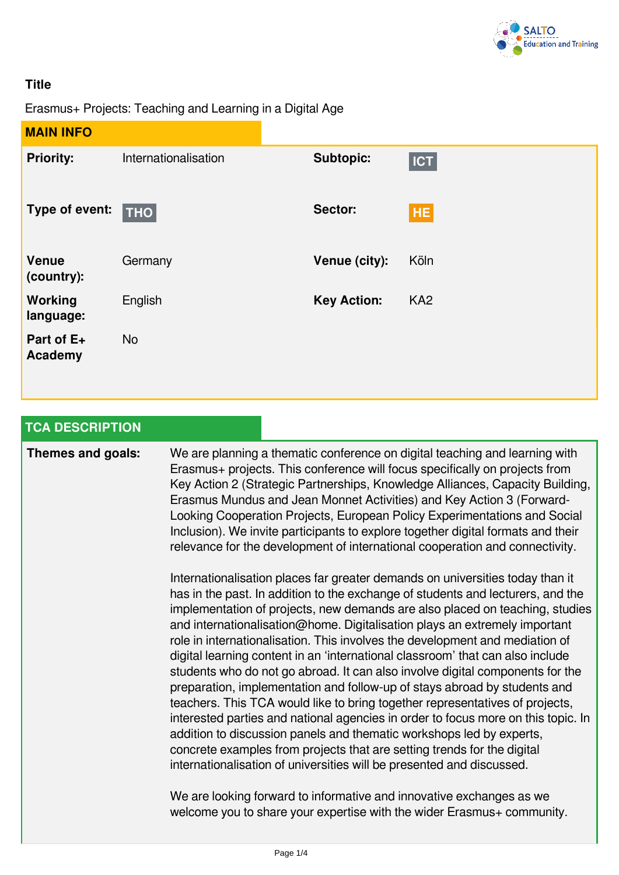

## **Title**

Erasmus+ Projects: Teaching and Learning in a Digital Age

| <b>MAIN INFO</b>            |                      |                    |                 |
|-----------------------------|----------------------|--------------------|-----------------|
| <b>Priority:</b>            | Internationalisation | <b>Subtopic:</b>   | <b>ICT</b>      |
| Type of event:              | $\vert$ THO $\vert$  | Sector:            | <b>HE</b>       |
| <b>Venue</b><br>(country):  | Germany              | Venue (city):      | Köln            |
| <b>Working</b><br>language: | English              | <b>Key Action:</b> | KA <sub>2</sub> |
| Part of E+<br>Academy       | <b>No</b>            |                    |                 |

| <b>TCA DESCRIPTION</b> |                                                                                                                                                                                                                                                                                                                                                                                                                                                                                                                                                                                                                                                                                                                                                                                                                                                                                                                                                                                                                                                                 |
|------------------------|-----------------------------------------------------------------------------------------------------------------------------------------------------------------------------------------------------------------------------------------------------------------------------------------------------------------------------------------------------------------------------------------------------------------------------------------------------------------------------------------------------------------------------------------------------------------------------------------------------------------------------------------------------------------------------------------------------------------------------------------------------------------------------------------------------------------------------------------------------------------------------------------------------------------------------------------------------------------------------------------------------------------------------------------------------------------|
| Themes and goals:      | We are planning a thematic conference on digital teaching and learning with<br>Erasmus+ projects. This conference will focus specifically on projects from<br>Key Action 2 (Strategic Partnerships, Knowledge Alliances, Capacity Building,<br>Erasmus Mundus and Jean Monnet Activities) and Key Action 3 (Forward-<br>Looking Cooperation Projects, European Policy Experimentations and Social<br>Inclusion). We invite participants to explore together digital formats and their<br>relevance for the development of international cooperation and connectivity.                                                                                                                                                                                                                                                                                                                                                                                                                                                                                           |
|                        | Internationalisation places far greater demands on universities today than it<br>has in the past. In addition to the exchange of students and lecturers, and the<br>implementation of projects, new demands are also placed on teaching, studies<br>and internationalisation@home. Digitalisation plays an extremely important<br>role in internationalisation. This involves the development and mediation of<br>digital learning content in an 'international classroom' that can also include<br>students who do not go abroad. It can also involve digital components for the<br>preparation, implementation and follow-up of stays abroad by students and<br>teachers. This TCA would like to bring together representatives of projects,<br>interested parties and national agencies in order to focus more on this topic. In<br>addition to discussion panels and thematic workshops led by experts,<br>concrete examples from projects that are setting trends for the digital<br>internationalisation of universities will be presented and discussed. |
|                        | We are looking forward to informative and innovative exchanges as we<br>welcome you to share your expertise with the wider Erasmus+ community.                                                                                                                                                                                                                                                                                                                                                                                                                                                                                                                                                                                                                                                                                                                                                                                                                                                                                                                  |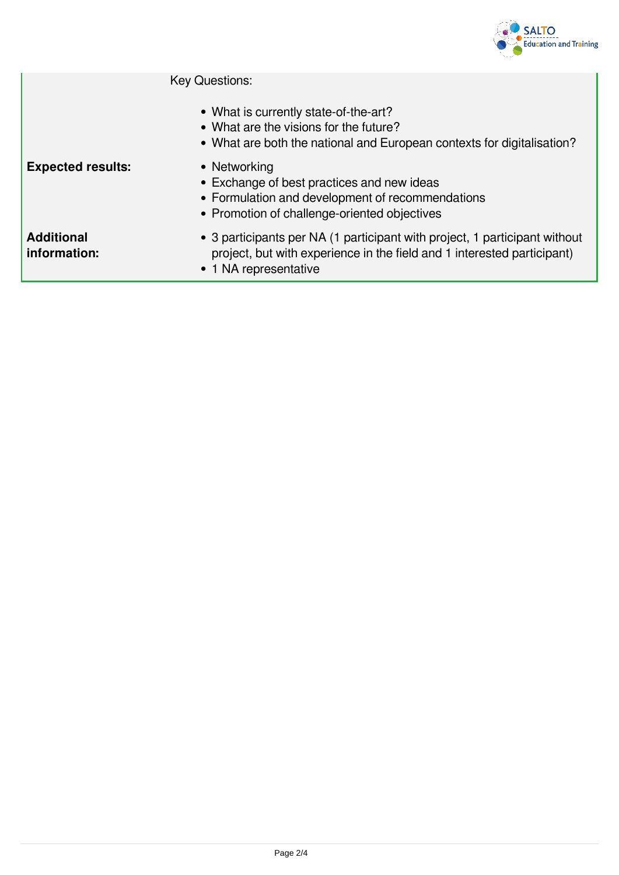

Key Questions:

- What is currently state-of-the-art?
- What are the visions for the future?
- What are both the national and European contexts for digitalisation?

**Expected results:** • Networking

- Exchange of best practices and new ideas
- Formulation and development of recommendations
- Promotion of challenge-oriented objectives

**Additional information:**

- 3 participants per NA (1 participant with project, 1 participant without project, but with experience in the field and 1 interested participant)
- 1 NA representative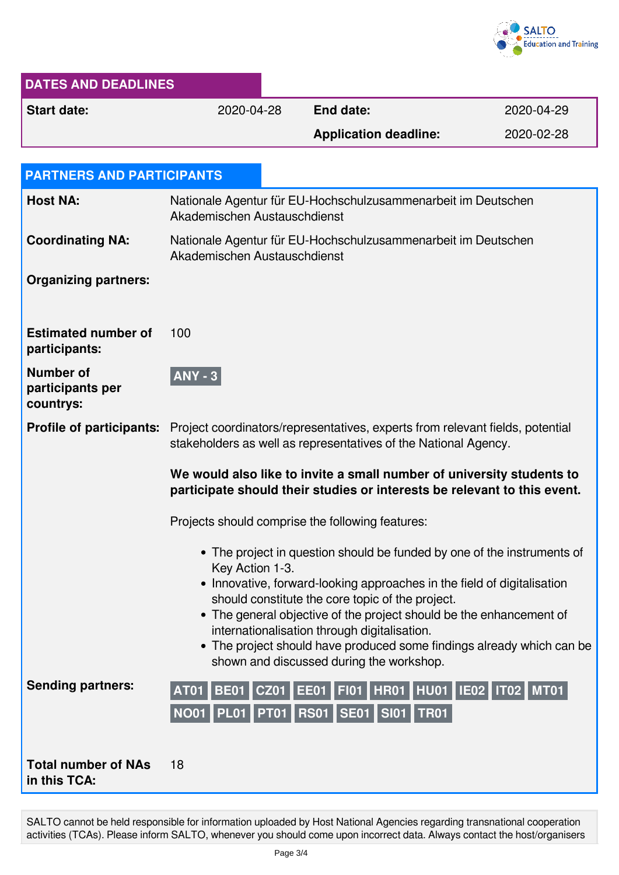

| <b>DATES AND DEADLINES</b>                        |                                                                                                                                                   |                                                                                                                                                                                                                                                                                                                                                                         |            |  |  |  |
|---------------------------------------------------|---------------------------------------------------------------------------------------------------------------------------------------------------|-------------------------------------------------------------------------------------------------------------------------------------------------------------------------------------------------------------------------------------------------------------------------------------------------------------------------------------------------------------------------|------------|--|--|--|
| <b>Start date:</b>                                | 2020-04-28                                                                                                                                        | <b>End date:</b>                                                                                                                                                                                                                                                                                                                                                        | 2020-04-29 |  |  |  |
|                                                   |                                                                                                                                                   | <b>Application deadline:</b>                                                                                                                                                                                                                                                                                                                                            | 2020-02-28 |  |  |  |
|                                                   |                                                                                                                                                   |                                                                                                                                                                                                                                                                                                                                                                         |            |  |  |  |
| <b>PARTNERS AND PARTICIPANTS</b>                  |                                                                                                                                                   |                                                                                                                                                                                                                                                                                                                                                                         |            |  |  |  |
| <b>Host NA:</b>                                   | Nationale Agentur für EU-Hochschulzusammenarbeit im Deutschen<br>Akademischen Austauschdienst                                                     |                                                                                                                                                                                                                                                                                                                                                                         |            |  |  |  |
| <b>Coordinating NA:</b>                           | Nationale Agentur für EU-Hochschulzusammenarbeit im Deutschen<br>Akademischen Austauschdienst                                                     |                                                                                                                                                                                                                                                                                                                                                                         |            |  |  |  |
| <b>Organizing partners:</b>                       |                                                                                                                                                   |                                                                                                                                                                                                                                                                                                                                                                         |            |  |  |  |
| <b>Estimated number of</b><br>participants:       | 100                                                                                                                                               |                                                                                                                                                                                                                                                                                                                                                                         |            |  |  |  |
| <b>Number of</b><br>participants per<br>countrys: | <b>ANY - 3</b>                                                                                                                                    |                                                                                                                                                                                                                                                                                                                                                                         |            |  |  |  |
| <b>Profile of participants:</b>                   | Project coordinators/representatives, experts from relevant fields, potential<br>stakeholders as well as representatives of the National Agency.  |                                                                                                                                                                                                                                                                                                                                                                         |            |  |  |  |
|                                                   | We would also like to invite a small number of university students to<br>participate should their studies or interests be relevant to this event. |                                                                                                                                                                                                                                                                                                                                                                         |            |  |  |  |
|                                                   | Projects should comprise the following features:                                                                                                  |                                                                                                                                                                                                                                                                                                                                                                         |            |  |  |  |
|                                                   | • The project in question should be funded by one of the instruments of<br>Key Action 1-3.                                                        |                                                                                                                                                                                                                                                                                                                                                                         |            |  |  |  |
|                                                   |                                                                                                                                                   | • Innovative, forward-looking approaches in the field of digitalisation<br>should constitute the core topic of the project.<br>• The general objective of the project should be the enhancement of<br>internationalisation through digitalisation.<br>• The project should have produced some findings already which can be<br>shown and discussed during the workshop. |            |  |  |  |
| <b>Sending partners:</b>                          | <b>AT01</b>                                                                                                                                       | BE01   CZ01   EE01   FI01   HR01   HU01   IE02   IT02   MT01<br>NO01 PL01 PT01 RS01 SE01 SI01 TR01                                                                                                                                                                                                                                                                      |            |  |  |  |
| <b>Total number of NAs</b><br>in this TCA:        | 18                                                                                                                                                |                                                                                                                                                                                                                                                                                                                                                                         |            |  |  |  |

SALTO cannot be held responsible for information uploaded by Host National Agencies regarding transnational cooperation activities (TCAs). Please inform SALTO, whenever you should come upon incorrect data. Always contact the host/organisers